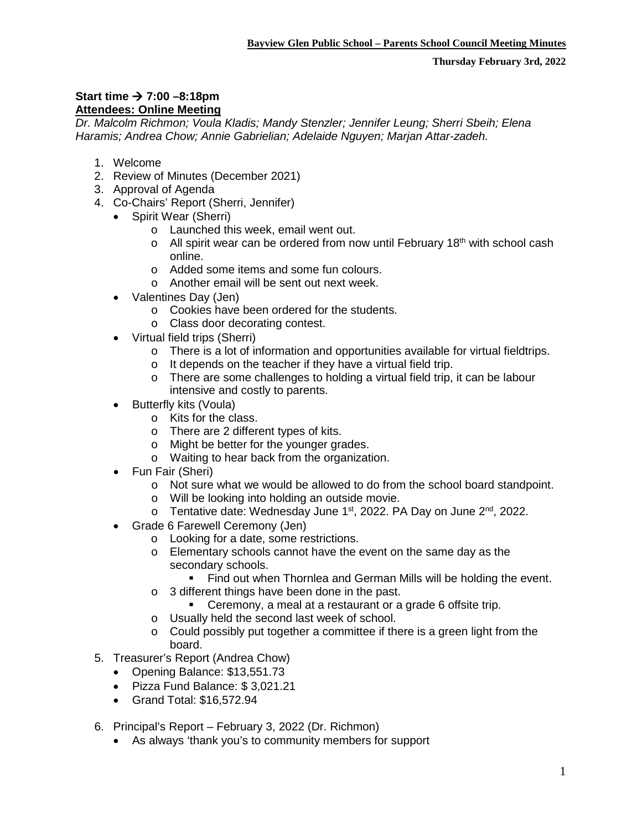## **Start time → 7:00 –8:18pm Attendees: Online Meeting**

*Dr. Malcolm Richmon; Voula Kladis; Mandy Stenzler; Jennifer Leung; Sherri Sbeih; Elena Haramis; Andrea Chow; Annie Gabrielian; Adelaide Nguyen; Marjan Attar-zadeh.*

- 1. Welcome
- 2. Review of Minutes (December 2021)
- 3. Approval of Agenda
- 4. Co-Chairs' Report (Sherri, Jennifer)
	- Spirit Wear (Sherri)
		- o Launched this week, email went out.
		- o All spirit wear can be ordered from now until February 18<sup>th</sup> with school cash online.
		- o Added some items and some fun colours.
		- o Another email will be sent out next week.
	- Valentines Day (Jen)
		- o Cookies have been ordered for the students.
		- o Class door decorating contest.
	- Virtual field trips (Sherri)
		- $\circ$  There is a lot of information and opportunities available for virtual fieldtrips.
		- o It depends on the teacher if they have a virtual field trip.
		- o There are some challenges to holding a virtual field trip, it can be labour intensive and costly to parents.
	- Butterfly kits (Voula)
		- o Kits for the class.
		- o There are 2 different types of kits.
		- o Might be better for the younger grades.
		- o Waiting to hear back from the organization.
	- Fun Fair (Sheri)
		- o Not sure what we would be allowed to do from the school board standpoint.
		- o Will be looking into holding an outside movie.
		- $\circ$  Tentative date: Wednesday June 1<sup>st</sup>, 2022. PA Day on June 2<sup>nd</sup>, 2022.
	- Grade 6 Farewell Ceremony (Jen)
		- o Looking for a date, some restrictions.
		- o Elementary schools cannot have the event on the same day as the secondary schools.
			- **Find out when Thornlea and German Mills will be holding the event.**
		- o 3 different things have been done in the past.
			- Ceremony, a meal at a restaurant or a grade 6 offsite trip.
		- o Usually held the second last week of school.
		- o Could possibly put together a committee if there is a green light from the board.
- 5. Treasurer's Report (Andrea Chow)
	- Opening Balance: \$13,551.73
	- Pizza Fund Balance: \$ 3,021.21
	- Grand Total: \$16,572.94
- 6. Principal's Report February 3, 2022 (Dr. Richmon)
	- As always 'thank you's to community members for support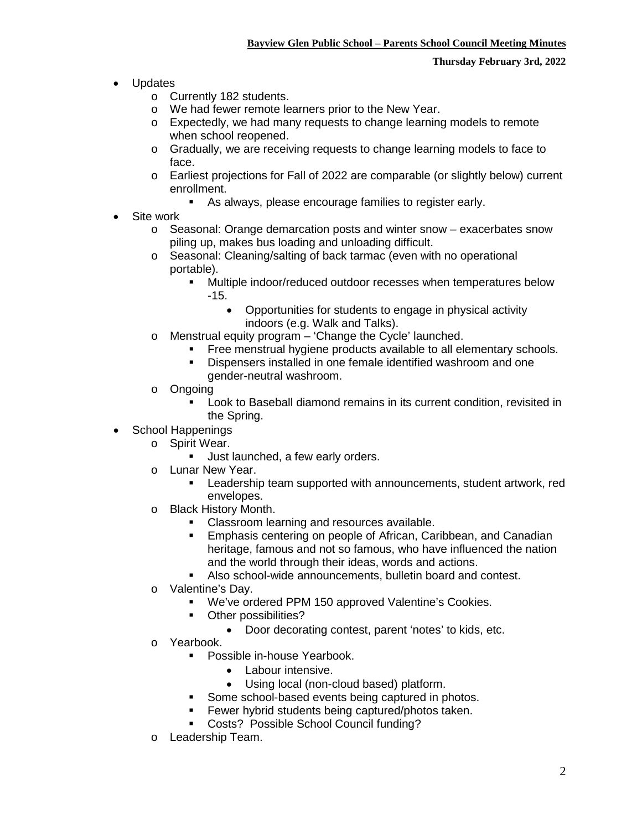- Updates
	- o Currently 182 students.
	- o We had fewer remote learners prior to the New Year.
	- o Expectedly, we had many requests to change learning models to remote when school reopened.
	- o Gradually, we are receiving requests to change learning models to face to face.
	- o Earliest projections for Fall of 2022 are comparable (or slightly below) current enrollment.
		- As always, please encourage families to register early.
- Site work
	- $\circ$  Seasonal: Orange demarcation posts and winter snow exacerbates snow piling up, makes bus loading and unloading difficult.
	- o Seasonal: Cleaning/salting of back tarmac (even with no operational portable).
		- Multiple indoor/reduced outdoor recesses when temperatures below -15.
			- Opportunities for students to engage in physical activity indoors (e.g. Walk and Talks).
	- o Menstrual equity program 'Change the Cycle' launched.
		- Free menstrual hygiene products available to all elementary schools.
		- Dispensers installed in one female identified washroom and one gender-neutral washroom.
	- o Ongoing
		- Look to Baseball diamond remains in its current condition, revisited in the Spring.
- School Happenings
	- o Spirit Wear.
		- Uust launched, a few early orders.
	- o Lunar New Year.
		- Leadership team supported with announcements, student artwork, red envelopes.
	- o Black History Month.
		- Classroom learning and resources available.
		- **Emphasis centering on people of African, Caribbean, and Canadian** heritage, famous and not so famous, who have influenced the nation and the world through their ideas, words and actions.
		- Also school-wide announcements, bulletin board and contest.
	- o Valentine's Day.
		- We've ordered PPM 150 approved Valentine's Cookies.
		- **•** Other possibilities?
			- Door decorating contest, parent 'notes' to kids, etc.
	- o Yearbook.
		- **Possible in-house Yearbook.** 
			- Labour intensive.
			- Using local (non-cloud based) platform.
			- Some school-based events being captured in photos.
			- **Fewer hybrid students being captured/photos taken.**
			- **Costs? Possible School Council funding?**
	- o Leadership Team.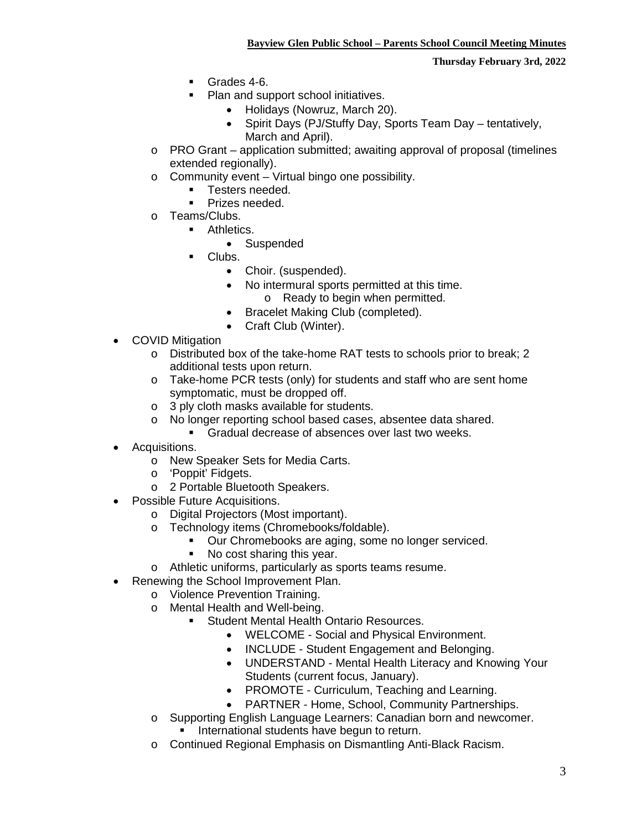**Thursday February 3rd, 2022**

- Grades 4-6.
- Plan and support school initiatives.
	- Holidays (Nowruz, March 20).
	- Spirit Days (PJ/Stuffy Day, Sports Team Day tentatively, March and April).
- o PRO Grant application submitted; awaiting approval of proposal (timelines extended regionally).
- o Community event Virtual bingo one possibility.
	- Testers needed.
	- **Prizes needed.**
- o Teams/Clubs.
	- **Athletics.** 
		- Suspended
		- Clubs.
			- Choir. (suspended).
			- No intermural sports permitted at this time. o Ready to begin when permitted.
			- Bracelet Making Club (completed).
			- Craft Club (Winter).
- COVID Mitigation
	- o Distributed box of the take-home RAT tests to schools prior to break; 2 additional tests upon return.
	- o Take-home PCR tests (only) for students and staff who are sent home symptomatic, must be dropped off.
	- o 3 ply cloth masks available for students.<br>
	o No longer reporting school based cases.
	- No longer reporting school based cases, absentee data shared.
		- Gradual decrease of absences over last two weeks.
- Acquisitions.
	- o New Speaker Sets for Media Carts.
	- o 'Poppit' Fidgets.
	- o 2 Portable Bluetooth Speakers.
- Possible Future Acquisitions.
	- o Digital Projectors (Most important).
	- o Technology items (Chromebooks/foldable).
		- **Dur Chromebooks are aging, some no longer serviced.**
		- No cost sharing this year.
	- o Athletic uniforms, particularly as sports teams resume.
- Renewing the School Improvement Plan.
	- o Violence Prevention Training.
	- o Mental Health and Well-being.
		- **Student Mental Health Ontario Resources.** 
			- WELCOME Social and Physical Environment.
			- INCLUDE Student Engagement and Belonging.
			- UNDERSTAND Mental Health Literacy and Knowing Your Students (current focus, January).
			- PROMOTE Curriculum, Teaching and Learning.
			- PARTNER Home, School, Community Partnerships.
	- o Supporting English Language Learners: Canadian born and newcomer.
		- **International students have begun to return.**
	- o Continued Regional Emphasis on Dismantling Anti-Black Racism.